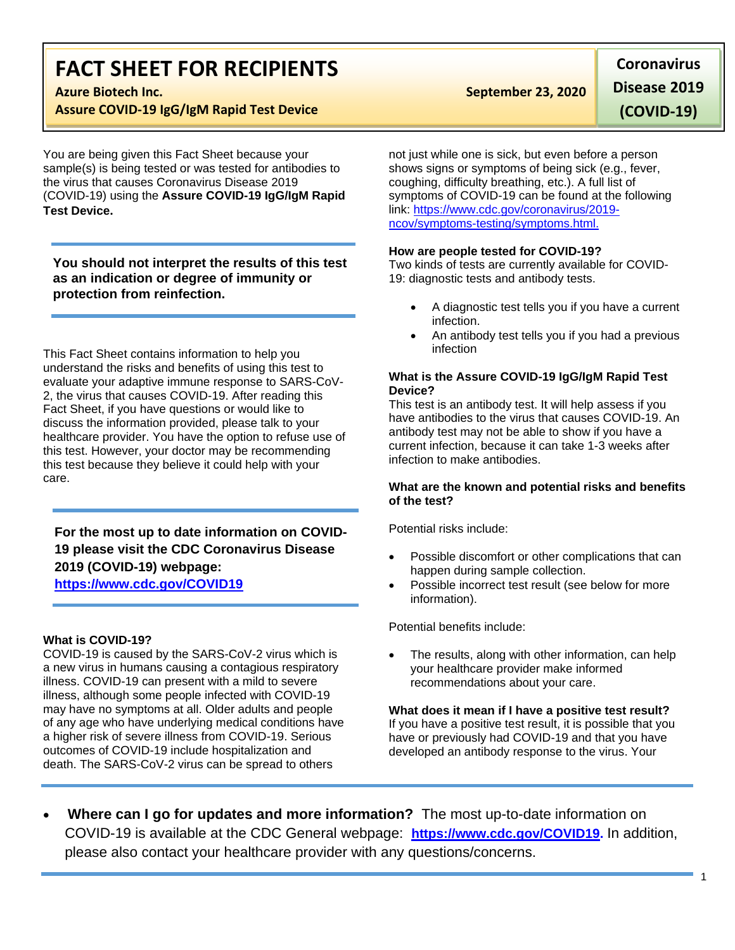# **FACT SHEET FOR RECIPIENTS**

**Assure COVID-19 IgG/IgM Rapid Test Device**

You are being given this Fact Sheet because your sample(s) is being tested or was tested for antibodies to the virus that causes Coronavirus Disease 2019 (COVID-19) using the **Assure COVID-19 IgG/IgM Rapid Test Device.**

**You should not interpret the results of this test as an indication or degree of immunity or protection from reinfection.**

This Fact Sheet contains information to help you understand the risks and benefits of using this test to evaluate your adaptive immune response to SARS-CoV-2, the virus that causes COVID-19. After reading this Fact Sheet, if you have questions or would like to discuss the information provided, please talk to your healthcare provider. You have the option to refuse use of this test. However, your doctor may be recommending this test because they believe it could help with your care.

**For the most up to date information on COVID-19 please visit the CDC Coronavirus Disease 2019 (COVID-19) webpage:**

### **[https://www.cdc.gov/COVID19](https://www.cdc.gov/nCoV)**

### **What is COVID-19?**

COVID-19 is caused by the SARS-CoV-2 virus which is a new virus in humans causing a contagious respiratory illness. COVID-19 can present with a mild to severe illness, although some people infected with COVID-19 may have no symptoms at all. Older adults and people of any age who have underlying medical conditions have a higher risk of severe illness from COVID-19. Serious outcomes of COVID-19 include hospitalization and death. The SARS-CoV-2 virus can be spread to others

## **Azure Biotech Inc. September 23, 2020**

**Coronavirus Disease 2019** 

**(COVID-19)**

not just while one is sick, but even before a person shows signs or symptoms of being sick (e.g., fever, coughing, difficulty breathing, etc.). A full list of symptoms of COVID-19 can be found at the following link: [https://www.cdc.gov/coronavirus/2019](https://www.cdc.gov/coronavirus/2019-ncov/symptoms-testing/symptoms.html) [ncov/symptoms-testing/symptoms.html.](https://www.cdc.gov/coronavirus/2019-ncov/symptoms-testing/symptoms.html)

#### **How are people tested for COVID-19?**

Two kinds of tests are currently available for COVID-19: diagnostic tests and antibody tests.

- A diagnostic test tells you if you have a current infection.
- An antibody test tells you if you had a previous infection

#### **What is the Assure COVID-19 IgG/IgM Rapid Test Device?**

This test is an antibody test. It will help assess if you have antibodies to the virus that causes COVID-19. An antibody test may not be able to show if you have a current infection, because it can take 1-3 weeks after infection to make antibodies.

#### **What are the known and potential risks and benefits of the test?**

Potential risks include:

- Possible discomfort or other complications that can happen during sample collection.
- Possible incorrect test result (see below for more information).

Potential benefits include:

 The results, along with other information, can help your healthcare provider make informed recommendations about your care.

**What does it mean if I have a positive test result?** If you have a positive test result, it is possible that you have or previously had COVID-19 and that you have developed an antibody response to the virus. Your

 **Where can I go for updates and more information?** The most up-to-date information on COVID-19 is available at the CDC General webpage: **[https://www.cdc.gov/COVID19.](https://www.cdc.gov/nCoV)** In addition, please also contact your healthcare provider with any questions/concerns.